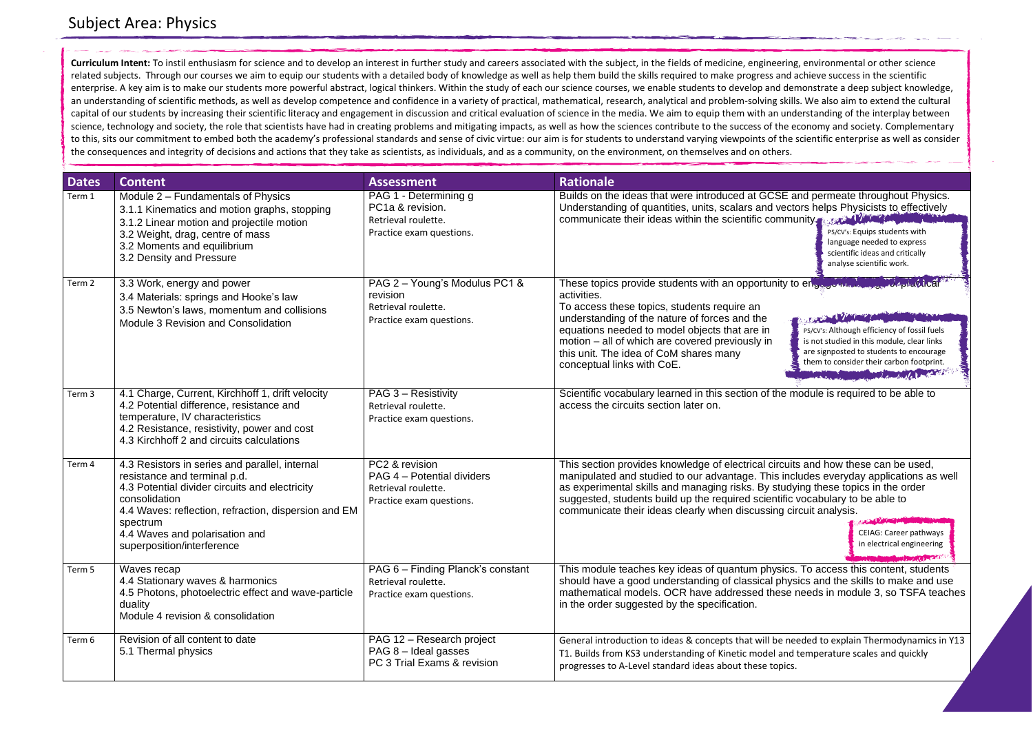

rcuits and how these can be used, s includes everyday applications as well studying these topics in the order tific vocabulary to be able to ng circuit analysis.

| <b>Dates</b> | <b>Content</b>                                                                                                                                                                                                                                                                        | <b>Assessment</b>                                                                               | <b>Rationale</b>                                                                                                                                                                                                                                                                                                                                |
|--------------|---------------------------------------------------------------------------------------------------------------------------------------------------------------------------------------------------------------------------------------------------------------------------------------|-------------------------------------------------------------------------------------------------|-------------------------------------------------------------------------------------------------------------------------------------------------------------------------------------------------------------------------------------------------------------------------------------------------------------------------------------------------|
| Term 1       | Module 2 - Fundamentals of Physics<br>3.1.1 Kinematics and motion graphs, stopping<br>3.1.2 Linear motion and projectile motion<br>3.2 Weight, drag, centre of mass<br>3.2 Moments and equilibrium<br>3.2 Density and Pressure                                                        | PAG 1 - Determining g<br>PC1a & revision.<br>Retrieval roulette.<br>Practice exam questions.    | Builds on the ideas that were introduced at GCSE are<br>Understanding of quantities, units, scalars and vecto<br>communicate their ideas within the scientific commu                                                                                                                                                                            |
| Term 2       | 3.3 Work, energy and power<br>3.4 Materials: springs and Hooke's law<br>3.5 Newton's laws, momentum and collisions<br>Module 3 Revision and Consolidation                                                                                                                             | PAG 2 - Young's Modulus PC1 &<br>revision<br>Retrieval roulette.<br>Practice exam questions.    | These topics provide students with an opportunity to<br>activities.<br>To access these topics, students require an<br>understanding of the nature of forces and the<br>equations needed to model objects that are in<br>motion – all of which are covered previously in<br>this unit. The idea of CoM shares many<br>conceptual links with CoE. |
| Term 3       | 4.1 Charge, Current, Kirchhoff 1, drift velocity<br>4.2 Potential difference, resistance and<br>temperature, IV characteristics<br>4.2 Resistance, resistivity, power and cost<br>4.3 Kirchhoff 2 and circuits calculations                                                           | PAG 3 - Resistivity<br>Retrieval roulette.<br>Practice exam questions.                          | Scientific vocabulary learned in this section of the m<br>access the circuits section later on.                                                                                                                                                                                                                                                 |
| Term 4       | 4.3 Resistors in series and parallel, internal<br>resistance and terminal p.d.<br>4.3 Potential divider circuits and electricity<br>consolidation<br>4.4 Waves: reflection, refraction, dispersion and EM<br>spectrum<br>4.4 Waves and polarisation and<br>superposition/interference | PC2 & revision<br>PAG 4 – Potential dividers<br>Retrieval roulette.<br>Practice exam questions. | This section provides knowledge of electrical circuits<br>manipulated and studied to our advantage. This incl<br>as experimental skills and managing risks. By studyi<br>suggested, students build up the required scientific v<br>communicate their ideas clearly when discussing cir-                                                         |
| Term 5       | Waves recap<br>4.4 Stationary waves & harmonics<br>4.5 Photons, photoelectric effect and wave-particle<br>duality<br>Module 4 revision & consolidation                                                                                                                                | PAG 6 - Finding Planck's constant<br>Retrieval roulette.<br>Practice exam questions.            | This module teaches key ideas of quantum physics.<br>should have a good understanding of classical physi<br>mathematical models. OCR have addressed these r<br>in the order suggested by the specification.                                                                                                                                     |
| Term 6       | Revision of all content to date<br>5.1 Thermal physics                                                                                                                                                                                                                                | PAG 12 - Research project<br>PAG 8 - Ideal gasses<br>PC 3 Trial Exams & revision                | General introduction to ideas & concepts that will be nee<br>T1. Builds from KS3 understanding of Kinetic model and t<br>progresses to A-Level standard ideas about these topics.                                                                                                                                                               |

## Subject Area: Physics

**Curriculum Intent:** To instil enthusiasm for science and to develop an interest in further study and careers associated with the subject, in the fields of medicine, engineering, environmental or other science related subjects. Through our courses we aim to equip our students with a detailed body of knowledge as well as help them build the skills required to make progress and achieve success in the scientific enterprise. A key aim is to make our students more powerful abstract, logical thinkers. Within the study of each our science courses, we enable students to develop and demonstrate a deep subject knowledge, an understanding of scientific methods, as well as develop competence and confidence in a variety of practical, mathematical, research, analytical and problem-solving skills. We also aim to extend the cultural capital of our students by increasing their scientific literacy and engagement in discussion and critical evaluation of science in the media. We aim to equip them with an understanding of the interplay between science, technology and society, the role that scientists have had in creating problems and mitigating impacts, as well as how the sciences contribute to the success of the economy and society. Complementary to this, sits our commitment to embed both the academy's professional standards and sense of civic virtue: our aim is for students to understand varying viewpoints of the scientific enterprise as well as consider the consequences and integrity of decisions and actions that they take as scientists, as individuals, and as a community, on the environment, on themselves and on others.

> CEIAG: Career pathways in electrical engineering

sics. To access this content, students physics and the skills to make and use ese needs in module 3, so TSFA teaches

e needed to explain Thermodynamics in Y13 and temperature scales and quickly